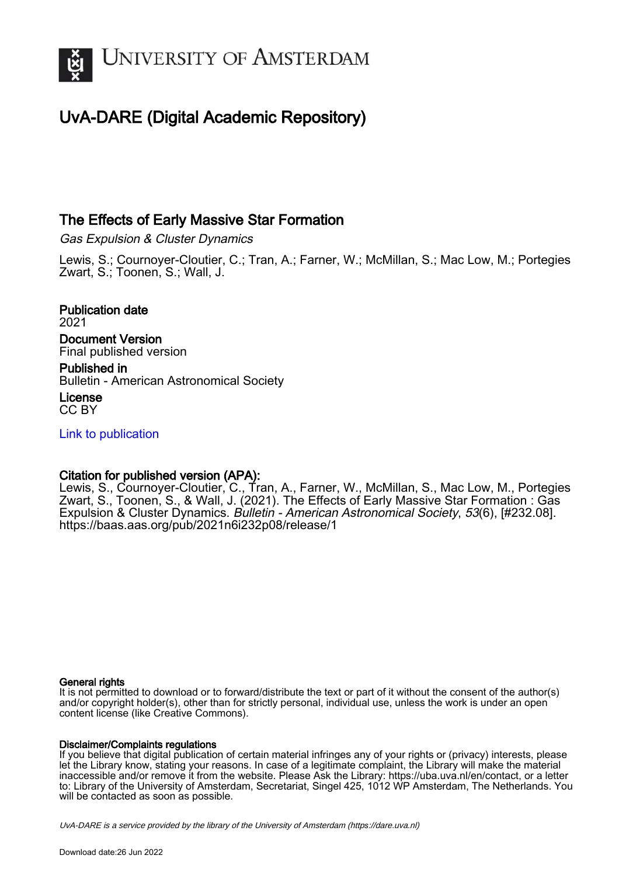

## UvA-DARE (Digital Academic Repository)

### The Effects of Early Massive Star Formation

Gas Expulsion & Cluster Dynamics

Lewis, S.; Cournoyer-Cloutier, C.; Tran, A.; Farner, W.; McMillan, S.; Mac Low, M.; Portegies Zwart, S.; Toonen, S.; Wall, J.

Publication date 2021 Document Version Final published version Published in Bulletin - American Astronomical Society License

CC BY

[Link to publication](https://dare.uva.nl/personal/pure/en/publications/the-effects-of-early-massive-star-formation(a19811c6-b5c5-40e3-8db2-512c9bf84424).html)

#### Citation for published version (APA):

Lewis, S., Cournoyer-Cloutier, C., Tran, A., Farner, W., McMillan, S., Mac Low, M., Portegies Zwart, S., Toonen, S., & Wall, J. (2021). The Effects of Early Massive Star Formation : Gas Expulsion & Cluster Dynamics. Bulletin - American Astronomical Society, 53(6), [#232.08]. <https://baas.aas.org/pub/2021n6i232p08/release/1>

#### General rights

It is not permitted to download or to forward/distribute the text or part of it without the consent of the author(s) and/or copyright holder(s), other than for strictly personal, individual use, unless the work is under an open content license (like Creative Commons).

#### Disclaimer/Complaints regulations

If you believe that digital publication of certain material infringes any of your rights or (privacy) interests, please let the Library know, stating your reasons. In case of a legitimate complaint, the Library will make the material inaccessible and/or remove it from the website. Please Ask the Library: https://uba.uva.nl/en/contact, or a letter to: Library of the University of Amsterdam, Secretariat, Singel 425, 1012 WP Amsterdam, The Netherlands. You will be contacted as soon as possible.

UvA-DARE is a service provided by the library of the University of Amsterdam (http*s*://dare.uva.nl)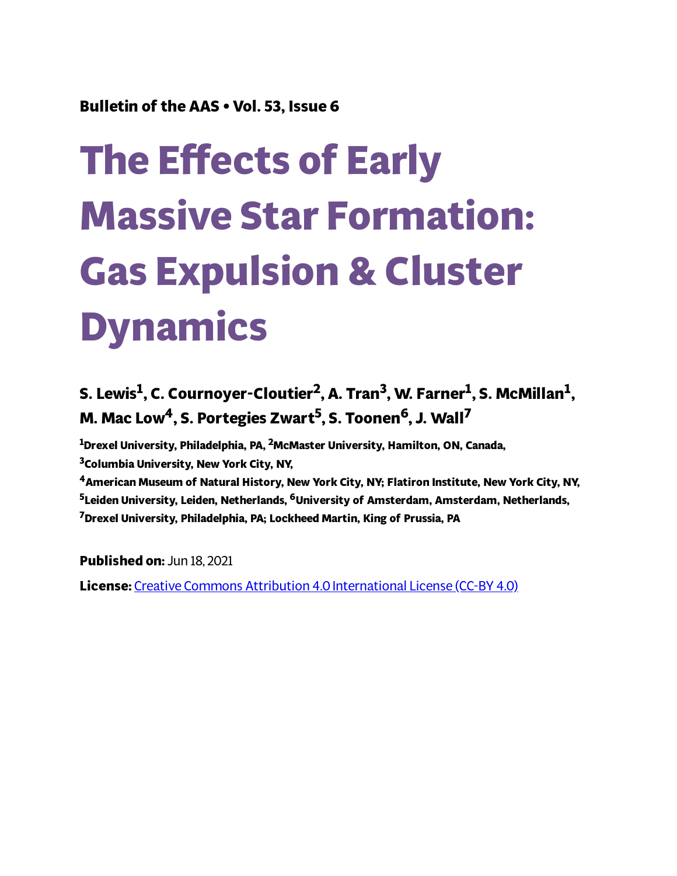## **Bulletin of the AAS • Vol. 53, Issue 6**

# **The Effects of Early Massive Star Formation: Gas Expulsion & Cluster Dynamics**

## **S. Lewis 1 , C. Cournoyer-Cloutier 2 , A. Tran 3 , W. Farner 1 , S. McMillan 1 , M. Mac Low4, S. Portegies Zwart 5 , S. Toonen <sup>6</sup>, J. Wall 7**

**<sup>1</sup>Drexel University, Philadelphia, PA, <sup>2</sup>McMaster University, Hamilton, ON, Canada, <sup>3</sup>Columbia University, New York City, NY,**

**<sup>4</sup>American Museum of Natural History, New York City, NY; Flatiron Institute, New York City, NY, <sup>5</sup>Leiden University, Leiden, Netherlands, <sup>6</sup>University of Amsterdam, Amsterdam, Netherlands, <sup>7</sup>Drexel University, Philadelphia, PA; Lockheed Martin, King of Prussia, PA**

**Published on:** Jun 18, 2021 **License:** Creative Commons Attribution 4.0 [International](https://creativecommons.org/licenses/by/4.0/) License (CC-BY 4.0)